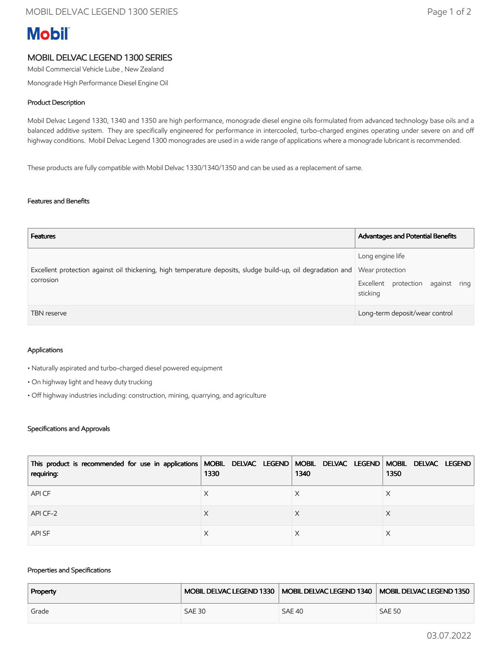# **Mobil**

# MOBIL DELVAC LEGEND 1300 SERIES

Mobil Commercial Vehicle Lube , New Zealand

Monograde High Performance Diesel Engine Oil

### Product Description

Mobil Delvac Legend 1330, 1340 and 1350 are high performance, monograde diesel engine oils formulated from advanced technology base oils and a balanced additive system. They are specifically engineered for performance in intercooled, turbo-charged engines operating under severe on and off highway conditions. Mobil Delvac Legend 1300 monogrades are used in a wide range of applications where a monograde lubricant is recommended.

These products are fully compatible with Mobil Delvac 1330/1340/1350 and can be used as a replacement of same.

#### Features and Benefits

| <b>Features</b>                                                                                                                           | Advantages and Potential Benefits                                 |
|-------------------------------------------------------------------------------------------------------------------------------------------|-------------------------------------------------------------------|
| Excellent protection against oil thickening, high temperature deposits, sludge build-up, oil degradation and Wear protection<br>corrosion | Long engine life<br>Excellent protection against ring<br>sticking |
| <b>TBN</b> reserve                                                                                                                        | Long-term deposit/wear control                                    |

#### Applications

• Naturally aspirated and turbo-charged diesel powered equipment

- On highway light and heavy duty trucking
- Off highway industries including: construction, mining, quarrying, and agriculture

#### Specifications and Approvals

| This product is recommended for use in applications MOBIL DELVAC LEGEND MOBIL DELVAC LEGEND MOBIL DELVAC LEGEND<br>requiring: | 1330 | 1340 | 1350 |
|-------------------------------------------------------------------------------------------------------------------------------|------|------|------|
| API CF                                                                                                                        |      |      | ∧    |
| API CF-2                                                                                                                      |      |      |      |
| <b>APISF</b>                                                                                                                  |      |      |      |

#### Properties and Specifications

| Property |               |               | MOBIL DELVAC LEGEND 1330   MOBIL DELVAC LEGEND 1340   MOBIL DELVAC LEGEND 1350 |
|----------|---------------|---------------|--------------------------------------------------------------------------------|
| Grade    | <b>SAE 30</b> | <b>SAE 40</b> | <b>SAE 50</b>                                                                  |